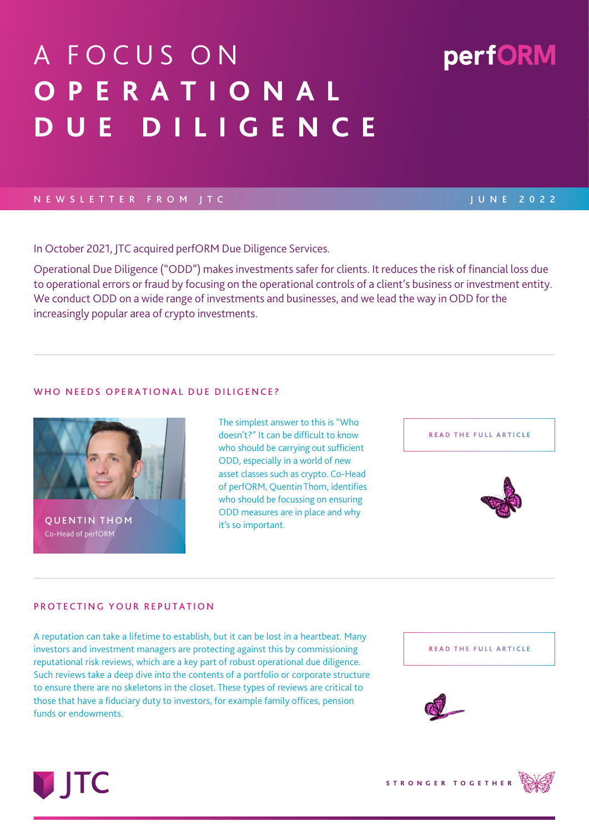# A FOCUS ON **O P E R A T I O N A L D U E D I L I G E N C E**

# NEWSLETTER FROM JTC JUNE 2022

In October 2021, JTC acquired perfORM Due Diligence Services.

Operational Due Diligence ("ODD") makes investments safer for clients. It reduces the risk of financial loss due to operational errors or fraud by focusing on the operational controls of a client's business or investment entity. We conduct ODD on a wide range of investments and businesses, and we lead the way in ODD for the increasingly popular area of crypto investments.

## WHO NEEDS OPERATIONAL DUE DILIGENCE?

The simplest answer to this is "Who doesn't?" It can be difficult to know who should be carrying out sufficient ODD, especially in a world of new asset classes such as crypto. Co-Head of perfORM, Quentin Thom, identifies who should be focussing on ensuring ODD measures are in place and why it's so important.

## PROTECTING YOUR REPUTATION

A reputation can take a lifetime to establish, but it can be lost in a heartbeat. Many investors and investment managers are protecting against this by commissioning reputational risk reviews, which are a key part of robust operational due diligence. Such reviews take a deep dive into the contents of a portfolio or corporate structure to ensure there are no skeletons in the closet. These types of reviews are critical to those that have a fiduciary duty to investors, for example family offices, pension funds or endowments.

**STRONGER TOGETHER**





**[READ THE FULL ARTICLE](https://www.performdd.com/news/who-needs-odd?utm_medium=email&utm_source=Factsheet&utm_campaign=perfORM+Newsletter&utm_content=Link&utm_term=pcs)**





**QUENTIN THOM** Co-Head of perfORM

**DITC** 



perfORM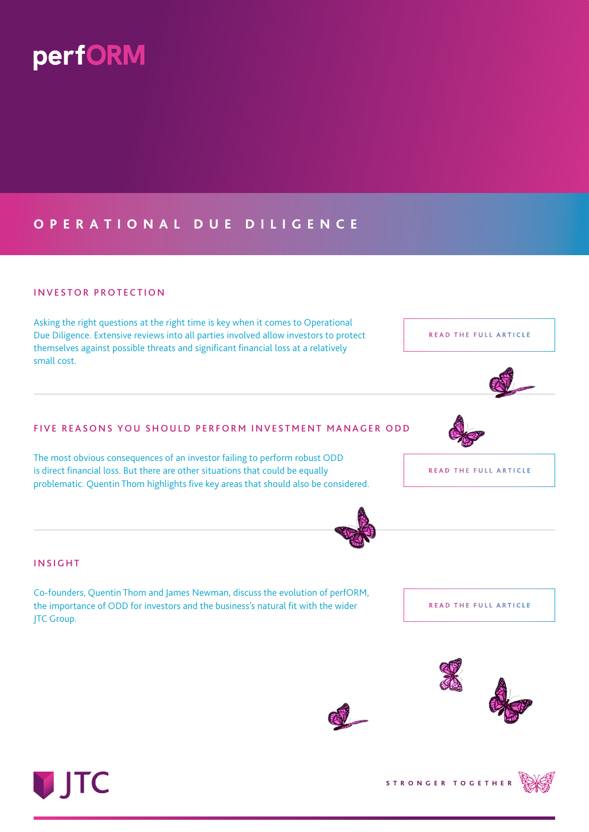

# **O P E R A T I O N A L D U E D I L I G E N C E**

# INVESTOR PROTECTION

Asking the right questions at the right time is key when it comes to Operational Due Diligence. Extensive reviews into all parties involved allow investors to protect themselves against possible threats and significant financial loss at a relatively small cost.

## FIVE REASONS YOU SHOULD PERFORM INVESTMENT MANAGER ODD

The most obvious consequences of an investor failing to perform robust ODD is direct financial loss. But there are other situations that could be equally problematic. Quentin Thom highlights five key areas that should also be considered.

Co-founders, Quentin Thom and James Newman, discuss the evolution of perfORM, the importance of ODD for investors and the business's natural fit with the wider



**[READ THE FULL ARTICLE](https://www.performdd.com/news/introduction-to-perform-due-diligence-services/?utm_medium=email&utm_source=Factsheet&utm_campaign=perfORM+Newsletter&utm_content=Link&utm_term=pcs)**





**JTC Group.** 

INSIGHT







**[READ THE FULL ARTICLE](https://www.performdd.com/news/investor-protection?utm_medium=email&utm_source=Factsheet&utm_campaign=perfORM+Newsletter&utm_content=Link&utm_term=pcs)**

**[READ THE FULL ARTICLE](https://www.performdd.com/news/investment-manager-odd/?utm_medium=email&utm_source=Factsheet&utm_campaign=perfORM+Newsletter&utm_content=Link&utm_term=pcs)**